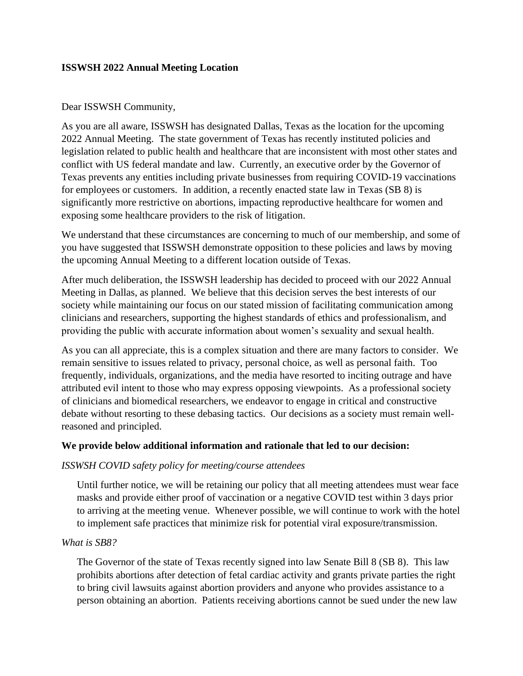# **ISSWSH 2022 Annual Meeting Location**

## Dear ISSWSH Community,

As you are all aware, ISSWSH has designated Dallas, Texas as the location for the upcoming 2022 Annual Meeting. The state government of Texas has recently instituted policies and legislation related to public health and healthcare that are inconsistent with most other states and conflict with US federal mandate and law. Currently, an executive order by the Governor of Texas prevents any entities including private businesses from requiring COVID-19 vaccinations for employees or customers. In addition, a recently enacted state law in Texas (SB 8) is significantly more restrictive on abortions, impacting reproductive healthcare for women and exposing some healthcare providers to the risk of litigation.

We understand that these circumstances are concerning to much of our membership, and some of you have suggested that ISSWSH demonstrate opposition to these policies and laws by moving the upcoming Annual Meeting to a different location outside of Texas.

After much deliberation, the ISSWSH leadership has decided to proceed with our 2022 Annual Meeting in Dallas, as planned. We believe that this decision serves the best interests of our society while maintaining our focus on our stated mission of facilitating communication among clinicians and researchers, supporting the highest standards of ethics and professionalism, and providing the public with accurate information about women's sexuality and sexual health.

As you can all appreciate, this is a complex situation and there are many factors to consider. We remain sensitive to issues related to privacy, personal choice, as well as personal faith. Too frequently, individuals, organizations, and the media have resorted to inciting outrage and have attributed evil intent to those who may express opposing viewpoints. As a professional society of clinicians and biomedical researchers, we endeavor to engage in critical and constructive debate without resorting to these debasing tactics. Our decisions as a society must remain wellreasoned and principled.

## **We provide below additional information and rationale that led to our decision:**

## *ISSWSH COVID safety policy for meeting/course attendees*

Until further notice, we will be retaining our policy that all meeting attendees must wear face masks and provide either proof of vaccination or a negative COVID test within 3 days prior to arriving at the meeting venue. Whenever possible, we will continue to work with the hotel to implement safe practices that minimize risk for potential viral exposure/transmission.

## *What is SB8?*

The Governor of the state of Texas recently signed into law Senate Bill 8 (SB 8). This law prohibits abortions after detection of fetal cardiac activity and grants private parties the right to bring civil lawsuits against abortion providers and anyone who provides assistance to a person obtaining an abortion. Patients receiving abortions cannot be sued under the new law